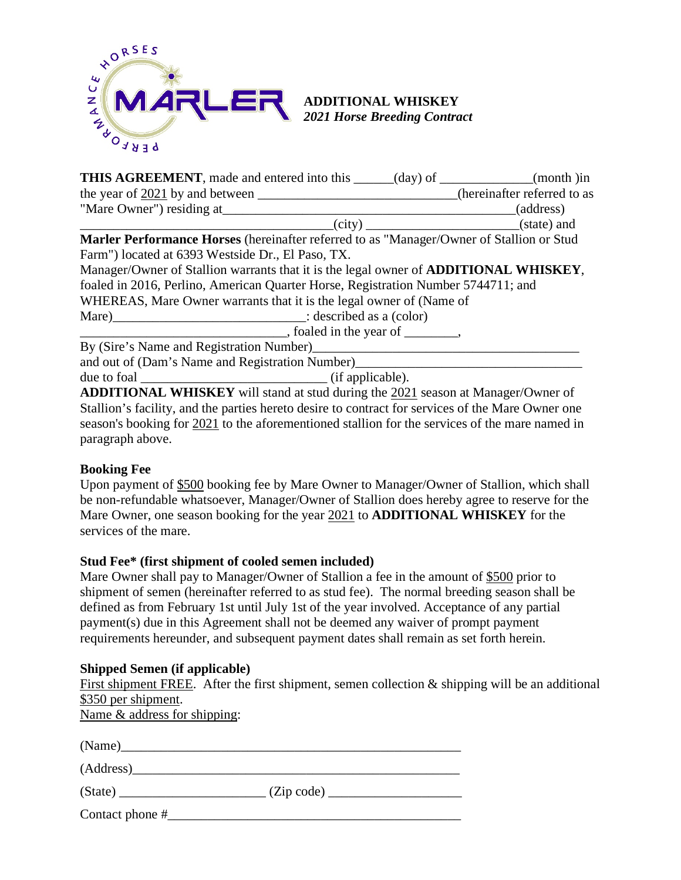

| <b>THIS AGREEMENT</b> , made and entered into this _____(day) of __________(month )in           |                                                                                                                        |           |
|-------------------------------------------------------------------------------------------------|------------------------------------------------------------------------------------------------------------------------|-----------|
| the year of 2021 by and between _______________________________(hereinafter referred to as      |                                                                                                                        |           |
| "Mare Owner") residing at                                                                       | <u> Alexandro Alexandro Alexandro Alexandro Alexandro Alexandro Alexandro Alexandro Alexandro Alexandro Alexandro </u> | (address) |
|                                                                                                 |                                                                                                                        |           |
| <b>Marler Performance Horses</b> (hereinafter referred to as "Manager/Owner of Stallion or Stud |                                                                                                                        |           |
| Farm") located at 6393 Westside Dr., El Paso, TX.                                               |                                                                                                                        |           |
| Manager/Owner of Stallion warrants that it is the legal owner of <b>ADDITIONAL WHISKEY</b> ,    |                                                                                                                        |           |
| foaled in 2016, Perlino, American Quarter Horse, Registration Number 5744711; and               |                                                                                                                        |           |
| WHEREAS, Mare Owner warrants that it is the legal owner of (Name of                             |                                                                                                                        |           |
|                                                                                                 |                                                                                                                        |           |
| $\frac{1}{2}$ , foaled in the year of $\frac{1}{2}$ ,                                           |                                                                                                                        |           |
|                                                                                                 |                                                                                                                        |           |
|                                                                                                 |                                                                                                                        |           |
| due to foal $\frac{\ }{\ }$ (if applicable).                                                    |                                                                                                                        |           |

**ADDITIONAL WHISKEY** will stand at stud during the 2021 season at Manager/Owner of Stallion's facility, and the parties hereto desire to contract for services of the Mare Owner one season's booking for 2021 to the aforementioned stallion for the services of the mare named in paragraph above.

# **Booking Fee**

Upon payment of \$500 booking fee by Mare Owner to Manager/Owner of Stallion, which shall be non-refundable whatsoever, Manager/Owner of Stallion does hereby agree to reserve for the Mare Owner, one season booking for the year 2021 to **ADDITIONAL WHISKEY** for the services of the mare.

### **Stud Fee\* (first shipment of cooled semen included)**

Mare Owner shall pay to Manager/Owner of Stallion a fee in the amount of \$500 prior to shipment of semen (hereinafter referred to as stud fee). The normal breeding season shall be defined as from February 1st until July 1st of the year involved. Acceptance of any partial payment(s) due in this Agreement shall not be deemed any waiver of prompt payment requirements hereunder, and subsequent payment dates shall remain as set forth herein.

### **Shipped Semen (if applicable)**

First shipment FREE. After the first shipment, semen collection  $\&$  shipping will be an additional \$350 per shipment.

Name & address for shipping:

| (Address)         |            |  |
|-------------------|------------|--|
| (State)           | (Zip code) |  |
| Contact phone $#$ |            |  |